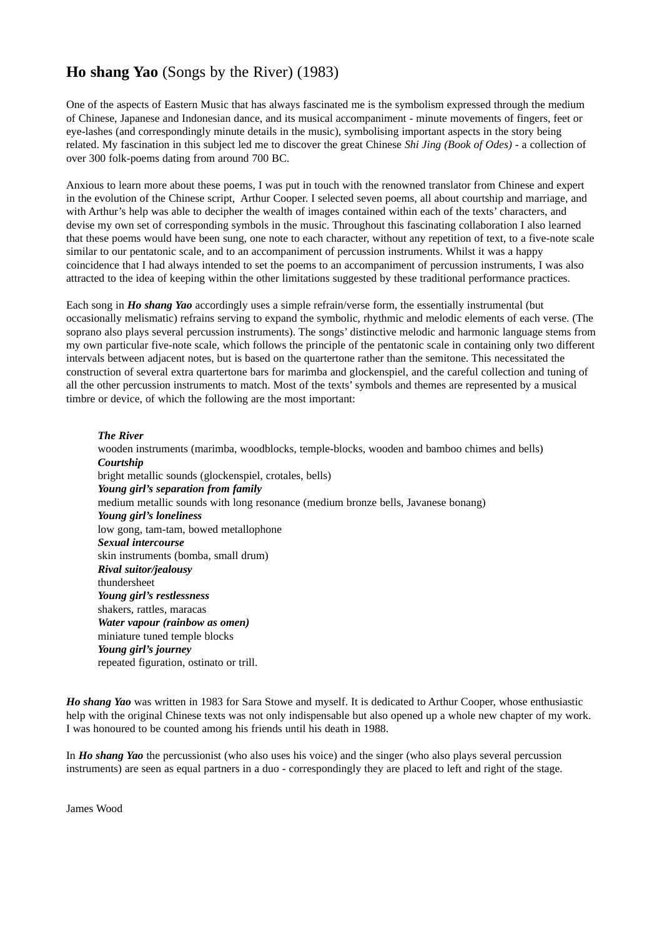# **Ho shang Yao** (Songs by the River) (1983)

One of the aspects of Eastern Music that has always fascinated me is the symbolism expressed through the medium of Chinese, Japanese and Indonesian dance, and its musical accompaniment - minute movements of fingers, feet or eye-lashes (and correspondingly minute details in the music), symbolising important aspects in the story being related. My fascination in this subject led me to discover the great Chinese *Shi Jing (Book of Odes)* - a collection of over 300 folk-poems dating from around 700 BC.

Anxious to learn more about these poems, I was put in touch with the renowned translator from Chinese and expert in the evolution of the Chinese script, Arthur Cooper. I selected seven poems, all about courtship and marriage, and with Arthur's help was able to decipher the wealth of images contained within each of the texts' characters, and devise my own set of corresponding symbols in the music. Throughout this fascinating collaboration I also learned that these poems would have been sung, one note to each character, without any repetition of text, to a five-note scale similar to our pentatonic scale, and to an accompaniment of percussion instruments. Whilst it was a happy coincidence that I had always intended to set the poems to an accompaniment of percussion instruments, I was also attracted to the idea of keeping within the other limitations suggested by these traditional performance practices.

Each song in *Ho shang Yao* accordingly uses a simple refrain/verse form, the essentially instrumental (but occasionally melismatic) refrains serving to expand the symbolic, rhythmic and melodic elements of each verse. (The soprano also plays several percussion instruments). The songs' distinctive melodic and harmonic language stems from my own particular five-note scale, which follows the principle of the pentatonic scale in containing only two different intervals between adjacent notes, but is based on the quartertone rather than the semitone. This necessitated the construction of several extra quartertone bars for marimba and glockenspiel, and the careful collection and tuning of all the other percussion instruments to match. Most of the texts' symbols and themes are represented by a musical timbre or device, of which the following are the most important:

#### *The River*

wooden instruments (marimba, woodblocks, temple-blocks, wooden and bamboo chimes and bells) *Courtship* bright metallic sounds (glockenspiel, crotales, bells) *Young girl's separation from family* medium metallic sounds with long resonance (medium bronze bells, Javanese bonang) *Young girl's loneliness* low gong, tam-tam, bowed metallophone *Sexual intercourse* skin instruments (bomba, small drum) *Rival suitor/jealousy* thundersheet *Young girl's restlessness* shakers, rattles, maracas *Water vapour (rainbow as omen)* miniature tuned temple blocks *Young girl's journey* repeated figuration, ostinato or trill.

*Ho shang Yao* was written in 1983 for Sara Stowe and myself. It is dedicated to Arthur Cooper, whose enthusiastic help with the original Chinese texts was not only indispensable but also opened up a whole new chapter of my work. I was honoured to be counted among his friends until his death in 1988.

In *Ho shang Yao* the percussionist (who also uses his voice) and the singer (who also plays several percussion instruments) are seen as equal partners in a duo - correspondingly they are placed to left and right of the stage.

James Wood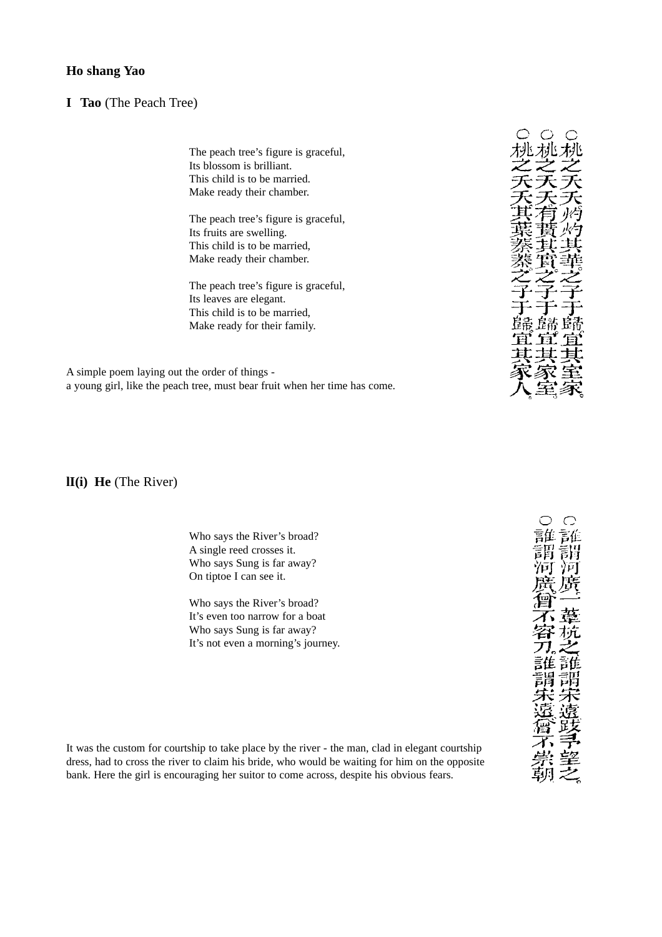## **Ho shang Yao**

### **I Tao** (The Peach Tree)

The peach tree's figure is graceful, Its blossom is brilliant. This child is to be married. Make ready their chamber.

The peach tree's figure is graceful, Its fruits are swelling. This child is to be married, Make ready their chamber.

The peach tree's figure is graceful, Its leaves are elegant. This child is to be married, Make ready for their family.

A simple poem laying out the order of things a young girl, like the peach tree, must bear fruit when her time has come.

**lI(i) He** (The River)

Who says the River's broad? A single reed crosses it. Who says Sung is far away? On tiptoe I can see it.

Who says the River's broad? It's even too narrow for a boat Who says Sung is far away? It's not even a morning's journey.



 $\curvearrowright$ ツォー 屏 言佳

It was the custom for courtship to take place by the river - the man, clad in elegant courtship dress, had to cross the river to claim his bride, who would be waiting for him on the opposite bank. Here the girl is encouraging her suitor to come across, despite his obvious fears.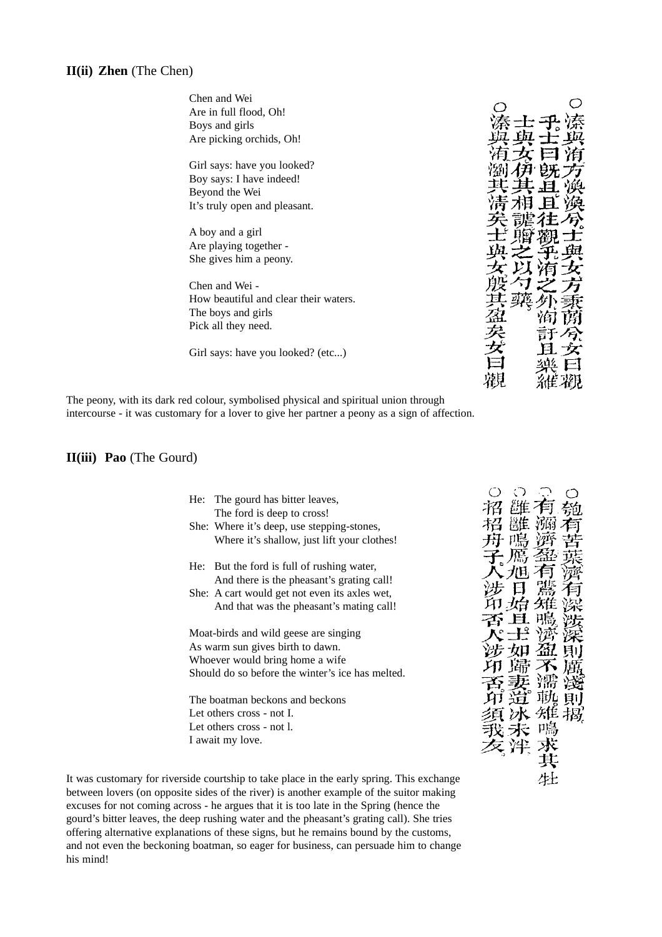## **II(ii) Zhen** (The Chen)

| Chen and Wei                          |  |
|---------------------------------------|--|
| Are in full flood, Oh!                |  |
| Boys and girls                        |  |
| Are picking orchids, Oh!              |  |
|                                       |  |
|                                       |  |
| Girl says: have you looked?           |  |
| Boy says: I have indeed!              |  |
| Beyond the Wei                        |  |
| It's truly open and pleasant.         |  |
|                                       |  |
| A boy and a girl                      |  |
| Are playing together -                |  |
|                                       |  |
| She gives him a peony.                |  |
|                                       |  |
| Chen and Wei -                        |  |
| How beautiful and clear their waters. |  |
| The boys and girls                    |  |
| Pick all they need.                   |  |
|                                       |  |
|                                       |  |
| Girl says: have you looked? (etc)     |  |
|                                       |  |
|                                       |  |
|                                       |  |

The peony, with its dark red colour, symbolised physical and spiritual union through intercourse - it was customary for a lover to give her partner a peony as a sign of affection.

## **II(iii) Pao** (The Gourd)

| The gourd has bitter leaves,<br>He:              |  |
|--------------------------------------------------|--|
| The ford is deep to cross!                       |  |
| She: Where it's deep, use stepping-stones,       |  |
| Where it's shallow, just lift your clothes!      |  |
|                                                  |  |
| But the ford is full of rushing water,<br>He:    |  |
| And there is the pheasant's grating call!        |  |
| She: A cart would get not even its axles wet,    |  |
| And that was the pheasant's mating call!         |  |
|                                                  |  |
| Moat-birds and wild geese are singing            |  |
| As warm sun gives birth to dawn.                 |  |
| Whoever would bring home a wife.                 |  |
| Should do so before the winter's ice has melted. |  |
|                                                  |  |
| The boatman beckons and beckons                  |  |
| Let others cross - not I.                        |  |
| Let others cross - not l.                        |  |
| I await my love.                                 |  |
|                                                  |  |
|                                                  |  |

生

It was customary for riverside courtship to take place in the early spring. This exchange between lovers (on opposite sides of the river) is another example of the suitor making excuses for not coming across - he argues that it is too late in the Spring (hence the gourd's bitter leaves, the deep rushing water and the pheasant's grating call). She tries offering alternative explanations of these signs, but he remains bound by the customs, and not even the beckoning boatman, so eager for business, can persuade him to change his mind!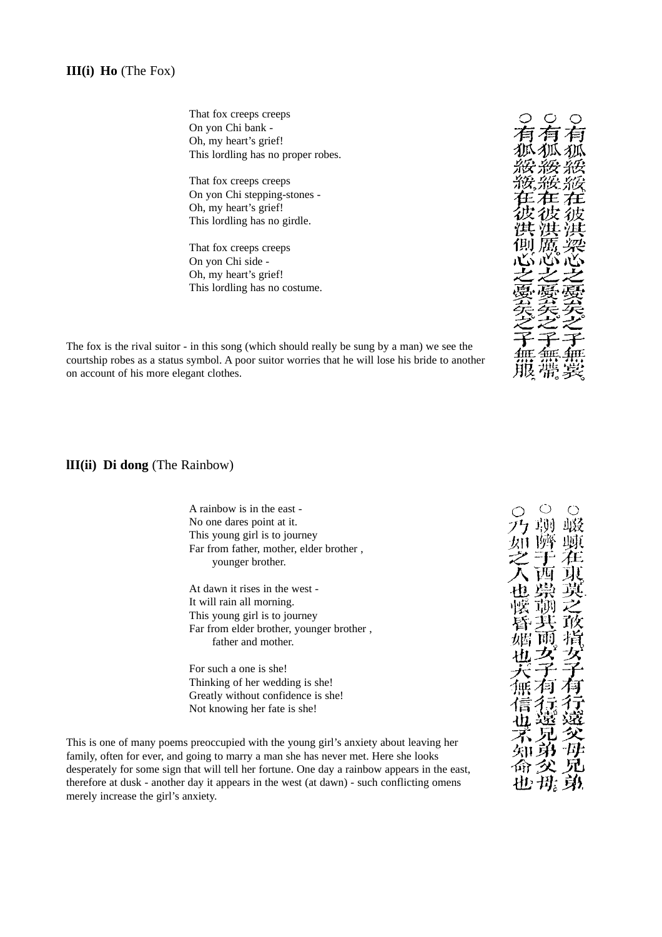That fox creeps creeps On yon Chi bank - Oh, my heart's grief! This lordling has no proper robes.

That fox creeps creeps On yon Chi stepping-stones - Oh, my heart's grief! This lordling has no girdle.

That fox creeps creeps On yon Chi side - Oh, my heart's grief! This lordling has no costume.

名 狐狐狐 綏綏 杂麦 王在 彷

The fox is the rival suitor - in this song (which should really be sung by a man) we see the courtship robes as a status symbol. A poor suitor worries that he will lose his bride to another on account of his more elegant clothes.

**lII(ii) Di dong** (The Rainbow)

| A rainbow is in the east -                                    |  |
|---------------------------------------------------------------|--|
| No one dares point at it.                                     |  |
| This young girl is to journey                                 |  |
| Far from father, mother, elder brother,                       |  |
| younger brother.                                              |  |
|                                                               |  |
| At dawn it rises in the west -                                |  |
| It will rain all morning.                                     |  |
| This young girl is to journey                                 |  |
| Far from elder brother, younger brother,                      |  |
| father and mother.                                            |  |
|                                                               |  |
| For such a one is she!                                        |  |
| Thinking of her wedding is she!                               |  |
| Greatly without confidence is she!                            |  |
| Not knowing her fate is she!                                  |  |
|                                                               |  |
| e processined with the young girl's enviaty shout leaving her |  |
|                                                               |  |

This is one of many poems preoccupied with the young girl's anxiety about leaving her family, often for ever, and going to marry a man she has never met. Here she looks desperately for some sign that will tell her fortune. One day a rainbow appears in the east, therefore at dusk - another day it appears in the west (at dawn) - such conflicting omens merely increase the girl's anxiety.

**知弟实见<br>命令<br>也毋身**